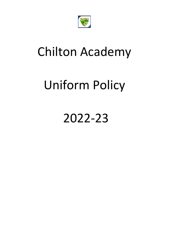

## Chilton Academy

# Uniform Policy

# 2022-23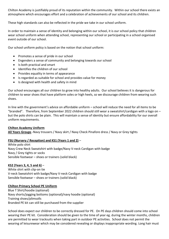Chilton Academy is justifiably proud of its reputation within the community. Within our school there exists an atmosphere which encourages effort and a celebration of achievements of our school and its children.

These high standards can also be reflected in the pride we take in our school uniform.

In order to maintain a sense of identity and belonging within our school, it is our school policy that children wear school uniform when attending school, representing our school or participating in a school organised event outside of our school.

Our school uniform policy is based on the notion that school uniform:

- Promotes a sense of pride in our school
- Engenders a sense of community and belonging towards our school
- Is both practical and smart
- Identifies the children of our school
- Provides equality in terms of appearance
- Is regarded as suitable for school and provides value for money
- Is designed with health and safety in mind

Our school encourages all our children to grow into healthy adults. Our school believes it is dangerous for children to wear shoes that have platform soles or high heels, so we discourage children from wearing such shoes.

In line with the government's advice on affordable uniform – school will reduce the need for all items to be "branded". Therefore, from September 2022 children should still wear a sweatshirt/cardigan with a logo on – but the polo shirts can be plain. This will maintain a sense of identity but ensure affordability for our overall uniform requirements.

### **Chilton Academy Uniform**

**All Years Groups** -Navy trousers / Navy skirt / Navy Check Pinafore dress / Navy or Grey tights

### **FSU (Nursery / Reception) and KS1 (Years 1 and 2)** –

White polo shirt Navy Crew Neck Sweatshirt with badge/Navy V-neck Cardigan with badge Navy / Grey tights or socks Sensible footwear – shoes or trainers (solid black)

### **KS2 (Years 3, 4, 5 and 6)** –

White shirt with clip-on tie V-neck Sweatshirt with badge/Navy V-neck Cardigan with badge Sensible footwear – shoes or trainers (solid black)

### **Chilton Primary School PE Uniform**

Blue T Shirt/hoodie (optional) Navy shorts/jogging bottoms (optional)/navy hoodie (optional) Training shoes/plimsolls Branded PE kit can still be purchased from the supplier

School does expect our children to be correctly dressed for PE. On PE days children should come into school wearing their PE kit. Consideration should be given to the time of year eg. during the winter months, children are permitted to wear tracksuits when taking part in outdoor PE activities. School does not permit the wearing of leisurewear which may be considered revealing or displays inappropriate wording. Long hair must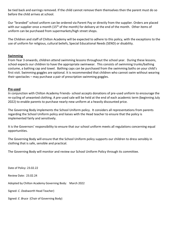be tied back and earrings removed. If the child cannot remove them themselves then the parent must do so before the child arrives at school.

Our "branded" school uniform can be ordered via Parent Pay or directly from the supplier. Orders are placed with our supplier once a month (15<sup>th</sup> of the month) for delivery at the end of the month. Other items of uniform can be purchased from supermarkets/high street shops.

The Children and staff of Chilton Academy will be expected to adhere to this policy, with the exceptions to the use of uniform for religious, cultural beliefs, Special Educational Needs (SEND) or disability.

#### **Swimming**

From Year 3 onwards, children attend swimming lessons throughout the school year. During these lessons, school expects our children to have the appropriate swimwear. This consists of swimming trunks/bathing costume, a bathing cap and towel. Bathing caps can be purchased from the swimming baths on your child's first visit. Swimming goggles are optional. It is recommended that children who cannot swim without wearing their spectacles – may purchase a pair of prescription swimming goggles.

#### **Pre-used**

In conjunction with Chilton Academy Friends- school accepts donations of pre-used uniform to encourage the re-cycling of unwanted clothing. A pre-used sale will be held at the end of each academic term (beginning July 2022) to enable parents to purchase nearly-new uniform at a heavily discounted price.

The Governing Body implements the School Uniform policy. It considers all representations from parents regarding the School Uniform policy and liaises with the Head teacher to ensure that the policy is implemented fairly and sensitively.

It is the Governors' responsibility to ensure that our school uniform meets all regulations concerning equal opportunities.

The Governing Body will ensure that the School Uniform policy supports our children to dress sensibly in clothing that is safe, sensible and practical.

The Governing Body will monitor and review our School Uniform Policy through its committee.

Date of Policy: 23.02.22

Review Date: 23.02.24

Adopted by Chilton Academy Governing Body: March 2022

Signed: *C. Dodsworth* Head Teacher)

Signed: *E. Bruce* (Chair of Governing Body)